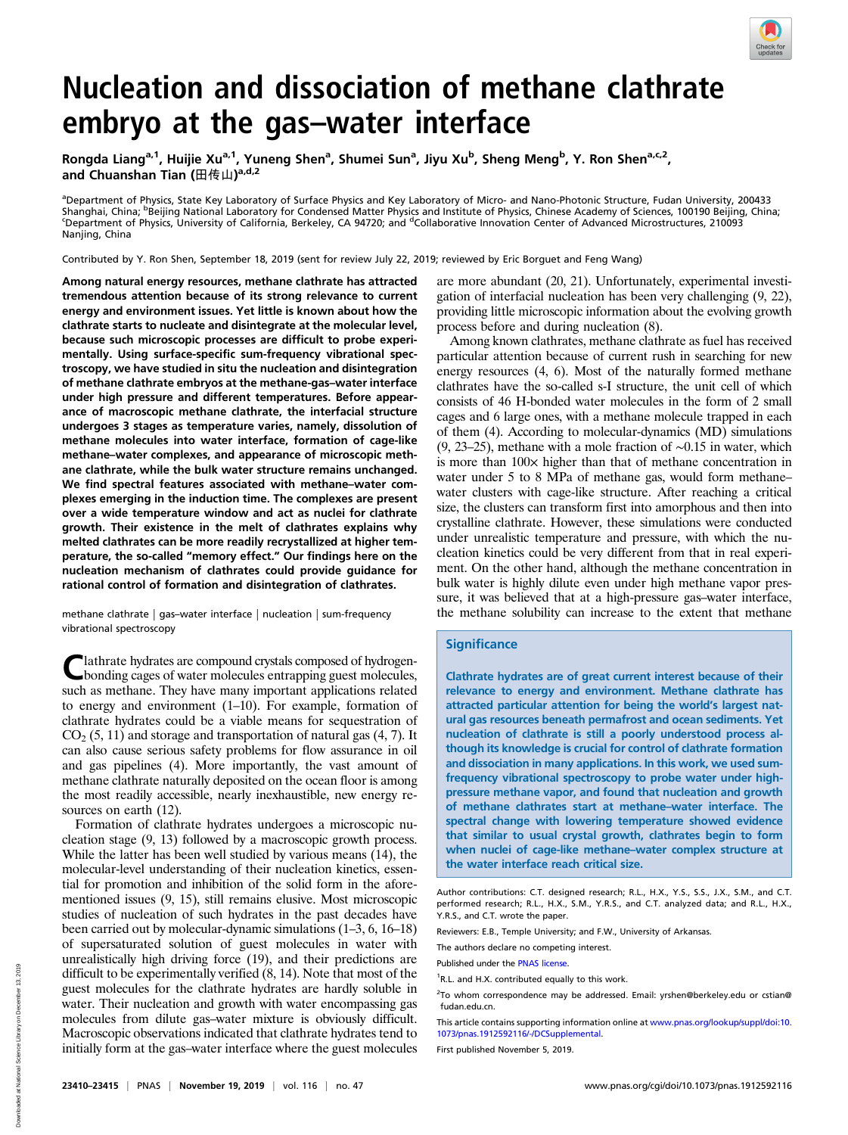

# Nucleation and dissociation of methane clathrate embryo at the gas–water interface

Rongda Liang<sup>a, 1</sup>, Huijie Xu<sup>a, 1</sup>, Yuneng Shen<sup>a</sup>, Shumei Sun<sup>a</sup>, Jiyu Xu<sup>b</sup>, Sheng Meng<sup>b</sup>, Y. Ron Shen<sup>a, c, 2</sup>, and Chuanshan Tian (田传山)<sup>a,d,2</sup>

a<br>Department of Physics, State Key Laboratory of Surface Physics and Key Laboratory of Micro- and Nano-Photonic Structure, Fudan University, 200433 Shanghai, China; <sup>b</sup>Beijing National Laboratory for Condensed Matter Physics and Institute of Physics, Chinese Academy of Sciences, 100190 Beijing, China;<br>Shanartment of Physics, University of California, Berkeley, CA 9472 Department of Physics, University of California, Berkeley, CA 94720; and <sup>d</sup>Collaborative Innovation Center of Advanced Microstructures, 210093 Nanjing, China

Contributed by Y. Ron Shen, September 18, 2019 (sent for review July 22, 2019; reviewed by Eric Borguet and Feng Wang)

Among natural energy resources, methane clathrate has attracted tremendous attention because of its strong relevance to current energy and environment issues. Yet little is known about how the clathrate starts to nucleate and disintegrate at the molecular level, because such microscopic processes are difficult to probe experimentally. Using surface-specific sum-frequency vibrational spectroscopy, we have studied in situ the nucleation and disintegration of methane clathrate embryos at the methane-gas–water interface under high pressure and different temperatures. Before appearance of macroscopic methane clathrate, the interfacial structure undergoes 3 stages as temperature varies, namely, dissolution of methane molecules into water interface, formation of cage-like methane–water complexes, and appearance of microscopic methane clathrate, while the bulk water structure remains unchanged. We find spectral features associated with methane–water complexes emerging in the induction time. The complexes are present over a wide temperature window and act as nuclei for clathrate growth. Their existence in the melt of clathrates explains why melted clathrates can be more readily recrystallized at higher temperature, the so-called "memory effect." Our findings here on the nucleation mechanism of clathrates could provide guidance for rational control of formation and disintegration of clathrates.

methane clathrate | gas–water interface | nucleation | sum-frequency vibrational spectroscopy

lathrate hydrates are compound crystals composed of hydrogenbonding cages of water molecules entrapping guest molecules, such as methane. They have many important applications related to energy and environment (1–10). For example, formation of clathrate hydrates could be a viable means for sequestration of  $CO<sub>2</sub>$  (5, 11) and storage and transportation of natural gas (4, 7). It can also cause serious safety problems for flow assurance in oil and gas pipelines (4). More importantly, the vast amount of methane clathrate naturally deposited on the ocean floor is among the most readily accessible, nearly inexhaustible, new energy resources on earth (12).

Formation of clathrate hydrates undergoes a microscopic nucleation stage (9, 13) followed by a macroscopic growth process. While the latter has been well studied by various means (14), the molecular-level understanding of their nucleation kinetics, essential for promotion and inhibition of the solid form in the aforementioned issues (9, 15), still remains elusive. Most microscopic studies of nucleation of such hydrates in the past decades have been carried out by molecular-dynamic simulations (1–3, 6, 16–18) of supersaturated solution of guest molecules in water with unrealistically high driving force (19), and their predictions are difficult to be experimentally verified (8, 14). Note that most of the guest molecules for the clathrate hydrates are hardly soluble in water. Their nucleation and growth with water encompassing gas molecules from dilute gas–water mixture is obviously difficult. Macroscopic observations indicated that clathrate hydrates tend to initially form at the gas–water interface where the guest molecules are more abundant (20, 21). Unfortunately, experimental investigation of interfacial nucleation has been very challenging (9, 22), providing little microscopic information about the evolving growth process before and during nucleation (8).

Among known clathrates, methane clathrate as fuel has received particular attention because of current rush in searching for new energy resources (4, 6). Most of the naturally formed methane clathrates have the so-called s-I structure, the unit cell of which consists of 46 H-bonded water molecules in the form of 2 small cages and 6 large ones, with a methane molecule trapped in each of them (4). According to molecular-dynamics (MD) simulations (9, 23–25), methane with a mole fraction of ∼0.15 in water, which is more than  $100\times$  higher than that of methane concentration in water under 5 to 8 MPa of methane gas, would form methane– water clusters with cage-like structure. After reaching a critical size, the clusters can transform first into amorphous and then into crystalline clathrate. However, these simulations were conducted under unrealistic temperature and pressure, with which the nucleation kinetics could be very different from that in real experiment. On the other hand, although the methane concentration in bulk water is highly dilute even under high methane vapor pressure, it was believed that at a high-pressure gas–water interface, the methane solubility can increase to the extent that methane

### **Significance**

Clathrate hydrates are of great current interest because of their relevance to energy and environment. Methane clathrate has attracted particular attention for being the world's largest natural gas resources beneath permafrost and ocean sediments. Yet nucleation of clathrate is still a poorly understood process although its knowledge is crucial for control of clathrate formation and dissociation in many applications. In this work, we used sumfrequency vibrational spectroscopy to probe water under highpressure methane vapor, and found that nucleation and growth of methane clathrates start at methane–water interface. The spectral change with lowering temperature showed evidence that similar to usual crystal growth, clathrates begin to form when nuclei of cage-like methane–water complex structure at the water interface reach critical size.

First published November 5, 2019.

Author contributions: C.T. designed research; R.L., H.X., Y.S., S.S., J.X., S.M., and C.T. performed research; R.L., H.X., S.M., Y.R.S., and C.T. analyzed data; and R.L., H.X., Y.R.S., and C.T. wrote the paper.

Reviewers: E.B., Temple University; and F.W., University of Arkansas.

The authors declare no competing interest.

Published under the [PNAS license](https://www.pnas.org/site/aboutpnas/licenses.xhtml).

<sup>&</sup>lt;sup>1</sup>R.L. and H.X. contributed equally to this work.

<sup>&</sup>lt;sup>2</sup>To whom correspondence may be addressed. Email: [yrshen@berkeley.edu](mailto:yrshen@berkeley.edu) or [cstian@](mailto:cstian@fudan.edu.cn) [fudan.edu.cn](mailto:cstian@fudan.edu.cn).

This article contains supporting information online at [www.pnas.org/lookup/suppl/doi:10.](https://www.pnas.org/lookup/suppl/doi:10.1073/pnas.1912592116/-/DCSupplemental) [1073/pnas.1912592116/-/DCSupplemental.](https://www.pnas.org/lookup/suppl/doi:10.1073/pnas.1912592116/-/DCSupplemental)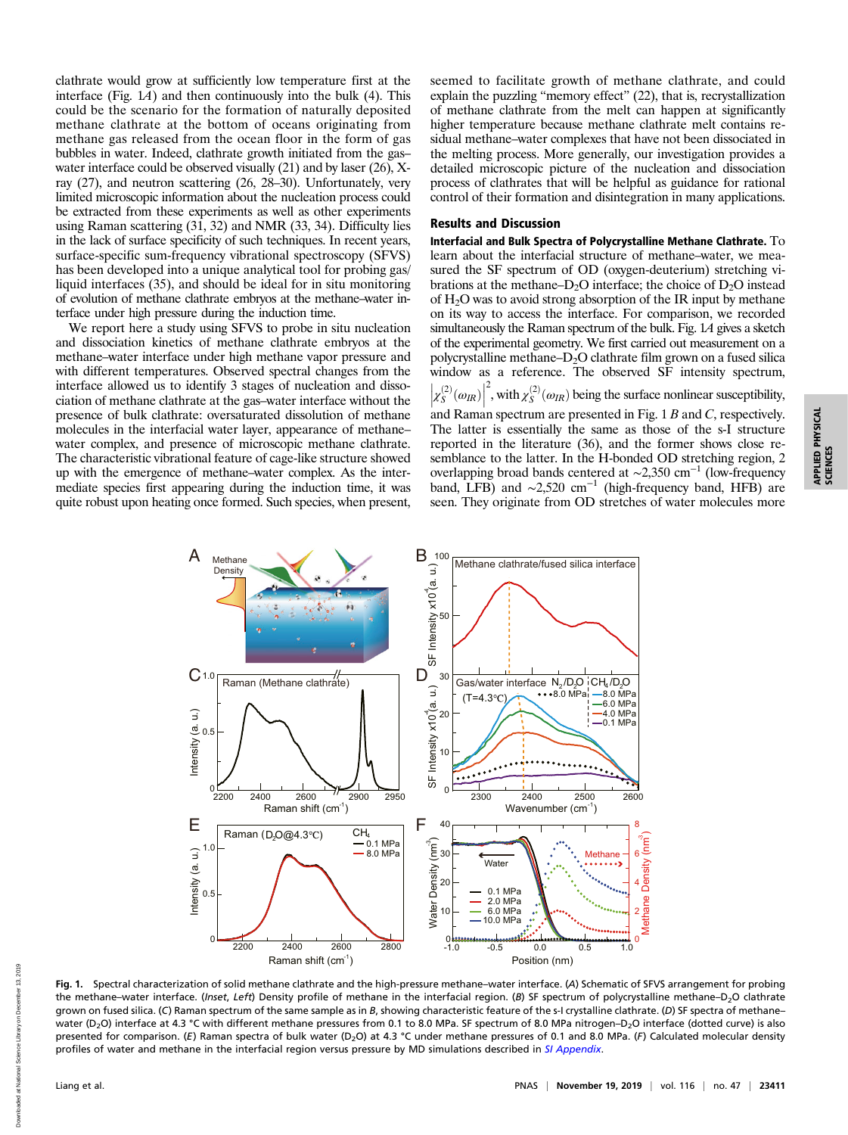clathrate would grow at sufficiently low temperature first at the interface (Fig.  $1A$ ) and then continuously into the bulk (4). This could be the scenario for the formation of naturally deposited methane clathrate at the bottom of oceans originating from methane gas released from the ocean floor in the form of gas bubbles in water. Indeed, clathrate growth initiated from the gas– water interface could be observed visually (21) and by laser (26), Xray (27), and neutron scattering (26, 28–30). Unfortunately, very limited microscopic information about the nucleation process could be extracted from these experiments as well as other experiments using Raman scattering (31, 32) and NMR (33, 34). Difficulty lies in the lack of surface specificity of such techniques. In recent years, surface-specific sum-frequency vibrational spectroscopy (SFVS) has been developed into a unique analytical tool for probing gas/ liquid interfaces (35), and should be ideal for in situ monitoring of evolution of methane clathrate embryos at the methane–water interface under high pressure during the induction time.

We report here a study using SFVS to probe in situ nucleation and dissociation kinetics of methane clathrate embryos at the methane–water interface under high methane vapor pressure and with different temperatures. Observed spectral changes from the interface allowed us to identify 3 stages of nucleation and dissociation of methane clathrate at the gas–water interface without the presence of bulk clathrate: oversaturated dissolution of methane molecules in the interfacial water layer, appearance of methane– water complex, and presence of microscopic methane clathrate. The characteristic vibrational feature of cage-like structure showed up with the emergence of methane–water complex. As the intermediate species first appearing during the induction time, it was quite robust upon heating once formed. Such species, when present, seemed to facilitate growth of methane clathrate, and could explain the puzzling "memory effect" (22), that is, recrystallization of methane clathrate from the melt can happen at significantly higher temperature because methane clathrate melt contains residual methane–water complexes that have not been dissociated in the melting process. More generally, our investigation provides a detailed microscopic picture of the nucleation and dissociation process of clathrates that will be helpful as guidance for rational control of their formation and disintegration in many applications.

# Results and Discussion

Interfacial and Bulk Spectra of Polycrystalline Methane Clathrate. To learn about the interfacial structure of methane–water, we measured the SF spectrum of OD (oxygen-deuterium) stretching vibrations at the methane– $D_2O$  interface; the choice of  $D_2O$  instead of  $H_2O$  was to avoid strong absorption of the IR input by methane on its way to access the interface. For comparison, we recorded simultaneously the Raman spectrum of the bulk. Fig. 1A gives a sketch of the experimental geometry. We first carried out measurement on a polycrystalline methane– $D_2O$  clathrate film grown on a fused silica window as a reference. The observed SF intensity spectrum,  $\left|\chi_{S}^{(2)}(\omega_{IR})\right|$ <sup>2</sup>, with  $\chi_S^{(2)}(\omega_R)$  being the surface nonlinear susceptibility, and Raman spectrum are presented in Fig.  $1B$  and  $C$ , respectively. The latter is essentially the same as those of the s-I structure reported in the literature (36), and the former shows close resemblance to the latter. In the H-bonded OD stretching region, 2 overlapping broad bands centered at ∼2,350 cm−<sup>1</sup> (low-frequency band, LFB) and  $\sim$ 2,520 cm<sup>-1</sup> (high-frequency band, HFB) are

seen. They originate from OD stretches of water molecules more



Fig. 1. Spectral characterization of solid methane clathrate and the high-pressure methane–water interface. (A) Schematic of SFVS arrangement for probing the methane–water interface. (Inset, Left) Density profile of methane in the interfacial region. (B) SF spectrum of polycrystalline methane–D<sub>2</sub>O clathrate grown on fused silica. (C) Raman spectrum of the same sample as in B, showing characteristic feature of the s-I crystalline clathrate. (D) SF spectra of methanewater (D<sub>2</sub>O) interface at 4.3 °C with different methane pressures from 0.1 to 8.0 MPa. SF spectrum of 8.0 MPa nitrogen–D<sub>2</sub>O interface (dotted curve) is also presented for comparison. (E) Raman spectra of bulk water (D<sub>2</sub>O) at 4.3 °C under methane pressures of 0.1 and 8.0 MPa. (F) Calculated molecular density profiles of water and methane in the interfacial region versus pressure by MD simulations described in [SI Appendix](https://www.pnas.org/lookup/suppl/doi:10.1073/pnas.1912592116/-/DCSupplemental).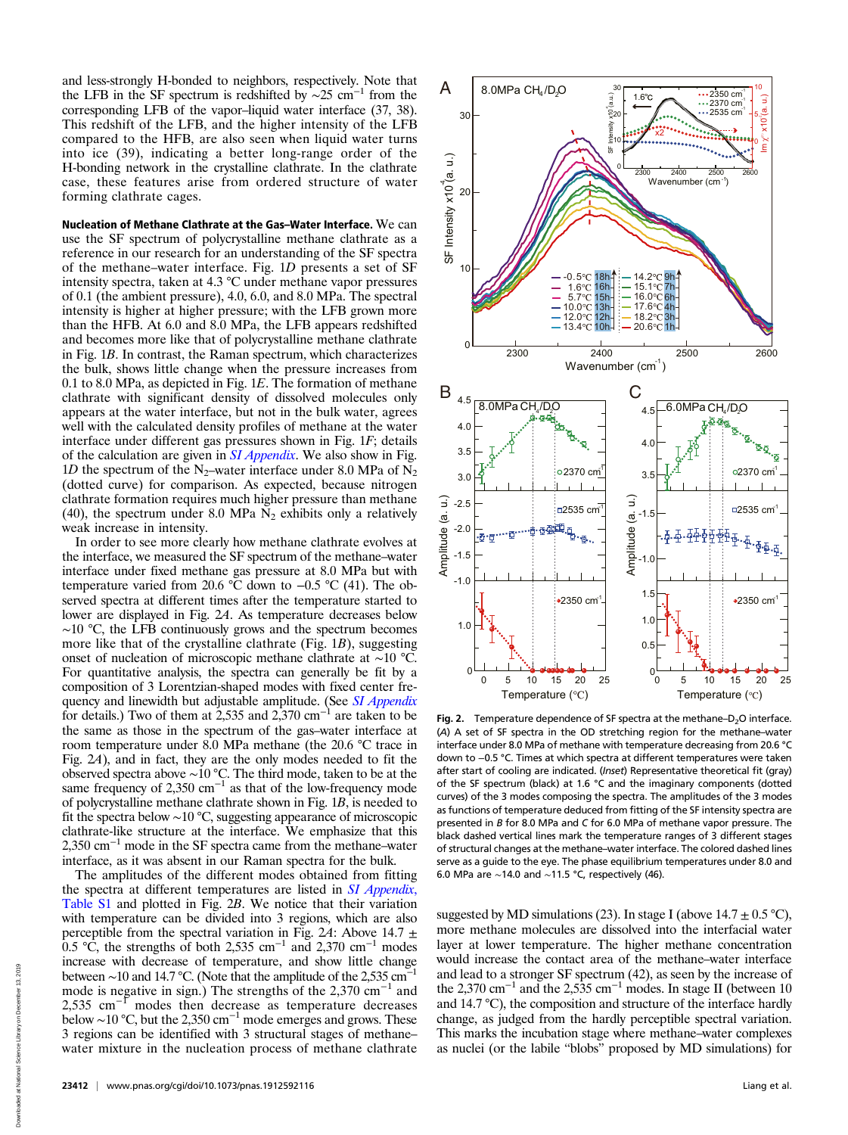and less-strongly H-bonded to neighbors, respectively. Note that the LFB in the SF spectrum is redshifted by ~25 cm<sup>-1</sup> from the corresponding LFB of the vapor–liquid water interface (37, 38). This redshift of the LFB, and the higher intensity of the LFB compared to the HFB, are also seen when liquid water turns into ice (39), indicating a better long-range order of the H-bonding network in the crystalline clathrate. In the clathrate case, these features arise from ordered structure of water forming clathrate cages.

Nucleation of Methane Clathrate at the Gas–Water Interface. We can use the SF spectrum of polycrystalline methane clathrate as a reference in our research for an understanding of the SF spectra of the methane–water interface. Fig. 1D presents a set of SF intensity spectra, taken at 4.3 °C under methane vapor pressures of 0.1 (the ambient pressure), 4.0, 6.0, and 8.0 MPa. The spectral intensity is higher at higher pressure; with the LFB grown more than the HFB. At 6.0 and 8.0 MPa, the LFB appears redshifted and becomes more like that of polycrystalline methane clathrate in Fig. 1B. In contrast, the Raman spectrum, which characterizes the bulk, shows little change when the pressure increases from 0.1 to 8.0 MPa, as depicted in Fig. 1E. The formation of methane clathrate with significant density of dissolved molecules only appears at the water interface, but not in the bulk water, agrees well with the calculated density profiles of methane at the water interface under different gas pressures shown in Fig. 1F; details of the calculation are given in *[SI Appendix](https://www.pnas.org/lookup/suppl/doi:10.1073/pnas.1912592116/-/DCSupplemental)*. We also show in Fig. 1D the spectrum of the N<sub>2</sub>-water interface under 8.0 MPa of N<sub>2</sub> (dotted curve) for comparison. As expected, because nitrogen clathrate formation requires much higher pressure than methane (40), the spectrum under 8.0 MPa  $N_2$  exhibits only a relatively weak increase in intensity.

In order to see more clearly how methane clathrate evolves at the interface, we measured the SF spectrum of the methane–water interface under fixed methane gas pressure at 8.0 MPa but with temperature varied from 20.6 °C down to −0.5 °C (41). The observed spectra at different times after the temperature started to lower are displayed in Fig. 2A. As temperature decreases below ∼10 °C, the LFB continuously grows and the spectrum becomes more like that of the crystalline clathrate (Fig. 1B), suggesting onset of nucleation of microscopic methane clathrate at ∼10 °C. For quantitative analysis, the spectra can generally be fit by a composition of 3 Lorentzian-shaped modes with fixed center fre-quency and linewidth but adjustable amplitude. (See [SI Appendix](https://www.pnas.org/lookup/suppl/doi:10.1073/pnas.1912592116/-/DCSupplemental) for details.) Two of them at 2,535 and 2,370 cm<sup>-1</sup> are taken to be the same as those in the spectrum of the gas–water interface at room temperature under 8.0 MPa methane (the 20.6 °C trace in Fig. 2A), and in fact, they are the only modes needed to fit the observed spectra above ∼10 °C. The third mode, taken to be at the same frequency of 2,350  $cm^{-1}$  as that of the low-frequency mode of polycrystalline methane clathrate shown in Fig. 1B, is needed to fit the spectra below ∼10 °C, suggesting appearance of microscopic clathrate-like structure at the interface. We emphasize that this 2,350 cm−<sup>1</sup> mode in the SF spectra came from the methane–water interface, as it was absent in our Raman spectra for the bulk.

The amplitudes of the different modes obtained from fitting the spectra at different temperatures are listed in *[SI Appendix](https://www.pnas.org/lookup/suppl/doi:10.1073/pnas.1912592116/-/DCSupplemental)*, [Table S1](https://www.pnas.org/lookup/suppl/doi:10.1073/pnas.1912592116/-/DCSupplemental) and plotted in Fig. 2B. We notice that their variation with temperature can be divided into 3 regions, which are also perceptible from the spectral variation in Fig. 24: Above 14.7  $\pm$ 0.5 °C, the strengths of both 2,535 cm<sup>-1</sup> and 2,370 cm<sup>-1</sup> modes increase with decrease of temperature, and show little change between ~10 and 14.7 °C. (Note that the amplitude of the 2,535 cm<sup>-1</sup> mode is negative in sign.) The strengths of the 2,370  $cm^{-1}$  and 2,535  $\text{cm}^{-1}$  modes then decrease as temperature decreases below ~10 °C, but the 2,350 cm<sup>-1</sup> mode emerges and grows. These 3 regions can be identified with 3 structural stages of methane– water mixture in the nucleation process of methane clathrate



Fig. 2. Temperature dependence of SF spectra at the methane– $D_2O$  interface. (A) A set of SF spectra in the OD stretching region for the methane–water interface under 8.0 MPa of methane with temperature decreasing from 20.6 °C down to −0.5 °C. Times at which spectra at different temperatures were taken after start of cooling are indicated. (Inset) Representative theoretical fit (gray) of the SF spectrum (black) at 1.6 °C and the imaginary components (dotted curves) of the 3 modes composing the spectra. The amplitudes of the 3 modes as functions of temperature deduced from fitting of the SF intensity spectra are presented in B for 8.0 MPa and C for 6.0 MPa of methane vapor pressure. The black dashed vertical lines mark the temperature ranges of 3 different stages of structural changes at the methane–water interface. The colored dashed lines serve as a guide to the eye. The phase equilibrium temperatures under 8.0 and 6.0 MPa are ∼14.0 and ∼11.5 °C, respectively (46).

suggested by MD simulations (23). In stage I (above  $14.7 \pm 0.5$  °C), more methane molecules are dissolved into the interfacial water layer at lower temperature. The higher methane concentration would increase the contact area of the methane–water interface and lead to a stronger SF spectrum (42), as seen by the increase of the 2,370 cm<sup>-1</sup> and the 2,535 cm<sup>-1</sup> modes. In stage II (between 10 and 14.7 °C), the composition and structure of the interface hardly change, as judged from the hardly perceptible spectral variation. This marks the incubation stage where methane–water complexes

Downloaded at National Science Library on December 13, 2019

Downloaded at National Science Library on December 13, 2019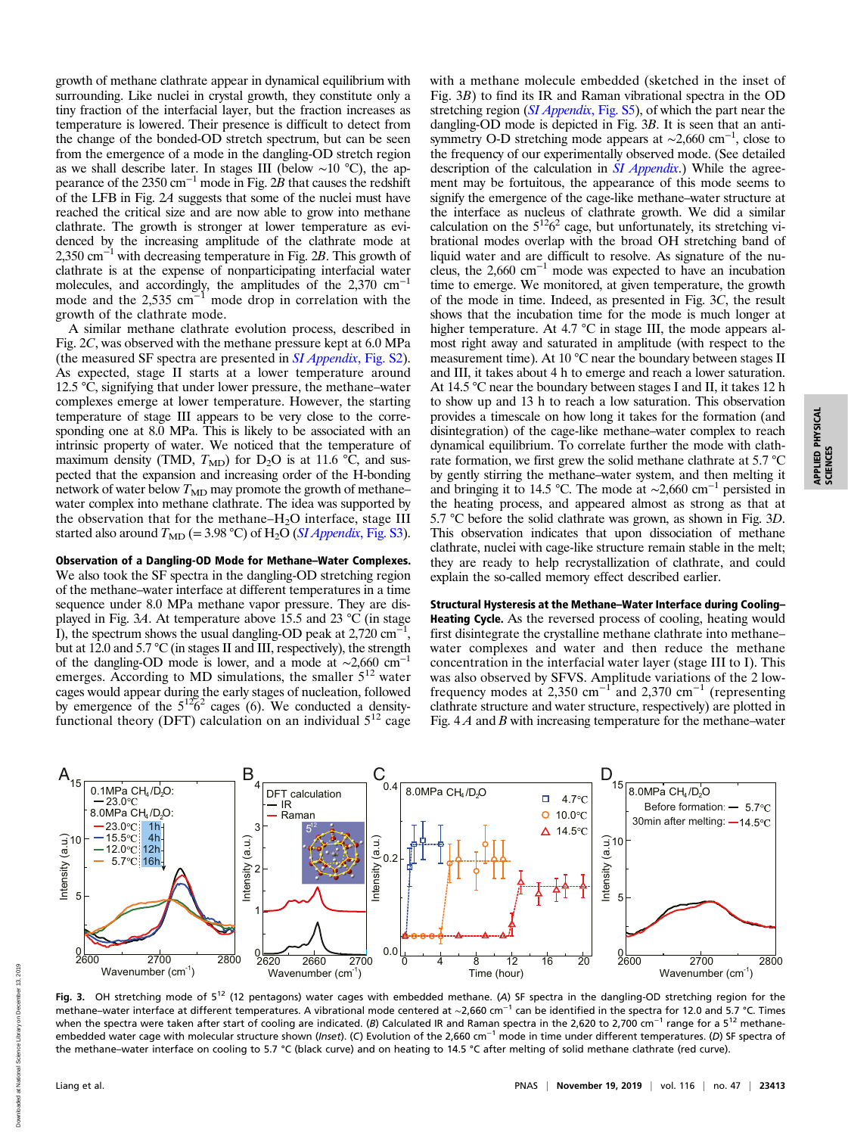growth of methane clathrate appear in dynamical equilibrium with surrounding. Like nuclei in crystal growth, they constitute only a tiny fraction of the interfacial layer, but the fraction increases as temperature is lowered. Their presence is difficult to detect from the change of the bonded-OD stretch spectrum, but can be seen from the emergence of a mode in the dangling-OD stretch region as we shall describe later. In stages III (below ∼10 °C), the appearance of the 2350 cm<sup>-1</sup> mode in Fig. 2B that causes the redshift of the LFB in Fig. 2A suggests that some of the nuclei must have reached the critical size and are now able to grow into methane clathrate. The growth is stronger at lower temperature as evidenced by the increasing amplitude of the clathrate mode at 2,350 cm−<sup>1</sup> with decreasing temperature in Fig. 2B. This growth of clathrate is at the expense of nonparticipating interfacial water molecules, and accordingly, the amplitudes of the 2,370 cm−<sup>1</sup> mode and the 2,535 cm−<sup>1</sup> mode drop in correlation with the growth of the clathrate mode.

A similar methane clathrate evolution process, described in Fig. 2C, was observed with the methane pressure kept at 6.0 MPa (the measured SF spectra are presented in [SI Appendix](https://www.pnas.org/lookup/suppl/doi:10.1073/pnas.1912592116/-/DCSupplemental), Fig. S2). As expected, stage II starts at a lower temperature around 12.5  $\degree$ C, signifying that under lower pressure, the methane–water complexes emerge at lower temperature. However, the starting temperature of stage III appears to be very close to the corresponding one at 8.0 MPa. This is likely to be associated with an intrinsic property of water. We noticed that the temperature of maximum density (TMD,  $T_{MD}$ ) for D<sub>2</sub>O is at 11.6 °C, and suspected that the expansion and increasing order of the H-bonding network of water below  $T_{\text{MD}}$  may promote the growth of methane– water complex into methane clathrate. The idea was supported by the observation that for the methane– $H_2O$  interface, stage III started also around  $T_{\text{MD}}$  (= 3.98 °C) of H<sub>2</sub>O (*[SI Appendix](https://www.pnas.org/lookup/suppl/doi:10.1073/pnas.1912592116/-/DCSupplemental)*, Fig. S3).

Observation of a Dangling-OD Mode for Methane–Water Complexes. We also took the SF spectra in the dangling-OD stretching region of the methane–water interface at different temperatures in a time sequence under 8.0 MPa methane vapor pressure. They are displayed in Fig. 3A. At temperature above 15.5 and 23 °C (in stage I), the spectrum shows the usual dangling-OD peak at 2,720 cm<sup>-1</sup>, but at 12.0 and 5.7 °C (in stages II and III, respectively), the strength of the dangling-OD mode is lower, and a mode at  $\sim$ 2,660 cm<sup>-1</sup> emerges. According to MD simulations, the smaller  $5^{12}$  water cages would appear during the early stages of nucleation, followed by emergence of the  $5^{12}6^2$  cages (6). We conducted a densityfunctional theory (DFT) calculation on an individual  $5^{12}$  cage

with a methane molecule embedded (sketched in the inset of Fig. 3B) to find its IR and Raman vibrational spectra in the OD stretching region ([SI Appendix](https://www.pnas.org/lookup/suppl/doi:10.1073/pnas.1912592116/-/DCSupplemental), Fig. S5), of which the part near the dangling-OD mode is depicted in Fig. 3B. It is seen that an antisymmetry O-D stretching mode appears at ~2,660 cm<sup>-1</sup>, close to the frequency of our experimentally observed mode. (See detailed description of the calculation in *[SI Appendix](https://www.pnas.org/lookup/suppl/doi:10.1073/pnas.1912592116/-/DCSupplemental)*.) While the agreement may be fortuitous, the appearance of this mode seems to signify the emergence of the cage-like methane–water structure at the interface as nucleus of clathrate growth. We did a similar calculation on the  $5^{12}6^2$  cage, but unfortunately, its stretching vibrational modes overlap with the broad OH stretching band of liquid water and are difficult to resolve. As signature of the nucleus, the 2,660 cm−<sup>1</sup> mode was expected to have an incubation time to emerge. We monitored, at given temperature, the growth of the mode in time. Indeed, as presented in Fig. 3C, the result shows that the incubation time for the mode is much longer at higher temperature. At 4.7 °C in stage III, the mode appears almost right away and saturated in amplitude (with respect to the measurement time). At 10 °C near the boundary between stages II and III, it takes about 4 h to emerge and reach a lower saturation. At 14.5 °C near the boundary between stages I and II, it takes 12 h to show up and 13 h to reach a low saturation. This observation provides a timescale on how long it takes for the formation (and disintegration) of the cage-like methane–water complex to reach dynamical equilibrium. To correlate further the mode with clathrate formation, we first grew the solid methane clathrate at 5.7 °C by gently stirring the methane–water system, and then melting it and bringing it to 14.5 °C. The mode at ∼2,660 cm−<sup>1</sup> persisted in the heating process, and appeared almost as strong as that at 5.7 °C before the solid clathrate was grown, as shown in Fig. 3D. This observation indicates that upon dissociation of methane clathrate, nuclei with cage-like structure remain stable in the melt; they are ready to help recrystallization of clathrate, and could explain the so-called memory effect described earlier.

Structural Hysteresis at the Methane–Water Interface during Cooling– Heating Cycle. As the reversed process of cooling, heating would first disintegrate the crystalline methane clathrate into methane– water complexes and water and then reduce the methane concentration in the interfacial water layer (stage III to I). This was also observed by SFVS. Amplitude variations of the 2 lowfrequency modes at 2,350 cm<sup>-1</sup> and 2,370 cm<sup>-1</sup> (representing clathrate structure and water structure, respectively) are plotted in Fig.  $4A$  and B with increasing temperature for the methane–water



Fig. 3. OH stretching mode of  $5^{12}$  (12 pentagons) water cages with embedded methane. (A) SF spectra in the dangling-OD stretching region for the methane–water interface at different temperatures. A vibrational mode centered at ~2,660 cm<sup>-1</sup> can be identified in the spectra for 12.0 and 5.7 °C. Times when the spectra were taken after start of cooling are indicated. (B) Calculated IR and Raman spectra in the 2,620 to 2,700 cm<sup>-1</sup> range for a 5<sup>12</sup> methaneembedded water cage with molecular structure shown (Inset). (C) Evolution of the 2,660 cm<sup>-1</sup> mode in time under different temperatures. (D) SF spectra of the methane–water interface on cooling to 5.7 °C (black curve) and on heating to 14.5 °C after melting of solid methane clathrate (red curve).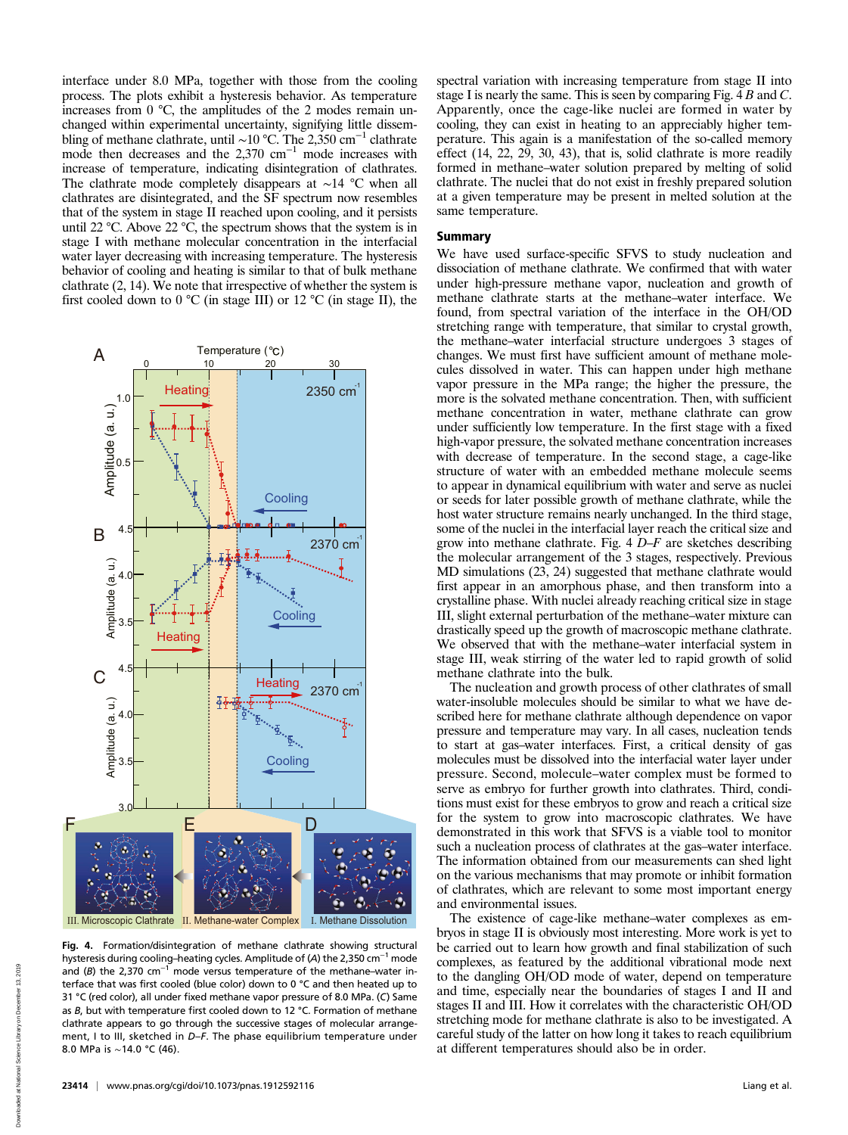interface under 8.0 MPa, together with those from the cooling process. The plots exhibit a hysteresis behavior. As temperature increases from 0 °C, the amplitudes of the 2 modes remain unchanged within experimental uncertainty, signifying little dissembling of methane clathrate, until ∼10 °C. The 2,350 cm−<sup>1</sup> clathrate mode then decreases and the 2,370 cm−<sup>1</sup> mode increases with increase of temperature, indicating disintegration of clathrates. The clathrate mode completely disappears at ∼14 °C when all clathrates are disintegrated, and the SF spectrum now resembles that of the system in stage II reached upon cooling, and it persists until 22 °C. Above 22 °C, the spectrum shows that the system is in stage I with methane molecular concentration in the interfacial water layer decreasing with increasing temperature. The hysteresis behavior of cooling and heating is similar to that of bulk methane clathrate (2, 14). We note that irrespective of whether the system is first cooled down to  $0^{\circ}$ C (in stage III) or 12  $^{\circ}$ C (in stage II), the



Fig. 4. Formation/disintegration of methane clathrate showing structural hysteresis during cooling–heating cycles. Amplitude of (A) the 2,350 cm<sup>-1</sup> mode and (B) the 2,370 cm<sup>-1</sup> mode versus temperature of the methane–water interface that was first cooled (blue color) down to 0 °C and then heated up to 31 °C (red color), all under fixed methane vapor pressure of 8.0 MPa. (C) Same as B, but with temperature first cooled down to 12 °C. Formation of methane

clathrate appears to go through the successive stages of molecular arrangement, I to III, sketched in D-F. The phase equilibrium temperature under spectral variation with increasing temperature from stage II into stage I is nearly the same. This is seen by comparing Fig. 4 B and C. Apparently, once the cage-like nuclei are formed in water by cooling, they can exist in heating to an appreciably higher temperature. This again is a manifestation of the so-called memory effect (14, 22, 29, 30, 43), that is, solid clathrate is more readily formed in methane–water solution prepared by melting of solid clathrate. The nuclei that do not exist in freshly prepared solution at a given temperature may be present in melted solution at the same temperature.

### Summary

We have used surface-specific SFVS to study nucleation and dissociation of methane clathrate. We confirmed that with water under high-pressure methane vapor, nucleation and growth of methane clathrate starts at the methane–water interface. We found, from spectral variation of the interface in the OH/OD stretching range with temperature, that similar to crystal growth, the methane–water interfacial structure undergoes 3 stages of changes. We must first have sufficient amount of methane molecules dissolved in water. This can happen under high methane vapor pressure in the MPa range; the higher the pressure, the more is the solvated methane concentration. Then, with sufficient methane concentration in water, methane clathrate can grow under sufficiently low temperature. In the first stage with a fixed high-vapor pressure, the solvated methane concentration increases with decrease of temperature. In the second stage, a cage-like structure of water with an embedded methane molecule seems to appear in dynamical equilibrium with water and serve as nuclei or seeds for later possible growth of methane clathrate, while the host water structure remains nearly unchanged. In the third stage, some of the nuclei in the interfacial layer reach the critical size and grow into methane clathrate. Fig.  $4 D-F$  are sketches describing the molecular arrangement of the 3 stages, respectively. Previous MD simulations (23, 24) suggested that methane clathrate would first appear in an amorphous phase, and then transform into a crystalline phase. With nuclei already reaching critical size in stage III, slight external perturbation of the methane–water mixture can drastically speed up the growth of macroscopic methane clathrate. We observed that with the methane–water interfacial system in stage III, weak stirring of the water led to rapid growth of solid methane clathrate into the bulk.

The nucleation and growth process of other clathrates of small water-insoluble molecules should be similar to what we have described here for methane clathrate although dependence on vapor pressure and temperature may vary. In all cases, nucleation tends to start at gas–water interfaces. First, a critical density of gas molecules must be dissolved into the interfacial water layer under pressure. Second, molecule–water complex must be formed to serve as embryo for further growth into clathrates. Third, conditions must exist for these embryos to grow and reach a critical size for the system to grow into macroscopic clathrates. We have demonstrated in this work that SFVS is a viable tool to monitor such a nucleation process of clathrates at the gas–water interface. The information obtained from our measurements can shed light on the various mechanisms that may promote or inhibit formation of clathrates, which are relevant to some most important energy and environmental issues.

The existence of cage-like methane–water complexes as embryos in stage II is obviously most interesting. More work is yet to be carried out to learn how growth and final stabilization of such complexes, as featured by the additional vibrational mode next to the dangling OH/OD mode of water, depend on temperature and time, especially near the boundaries of stages I and II and stages II and III. How it correlates with the characteristic OH/OD stretching mode for methane clathrate is also to be investigated. A careful study of the latter on how long it takes to reach equilibrium at different temperatures should also be in order.

8.0 MPa is ∼14.0 °C (46).